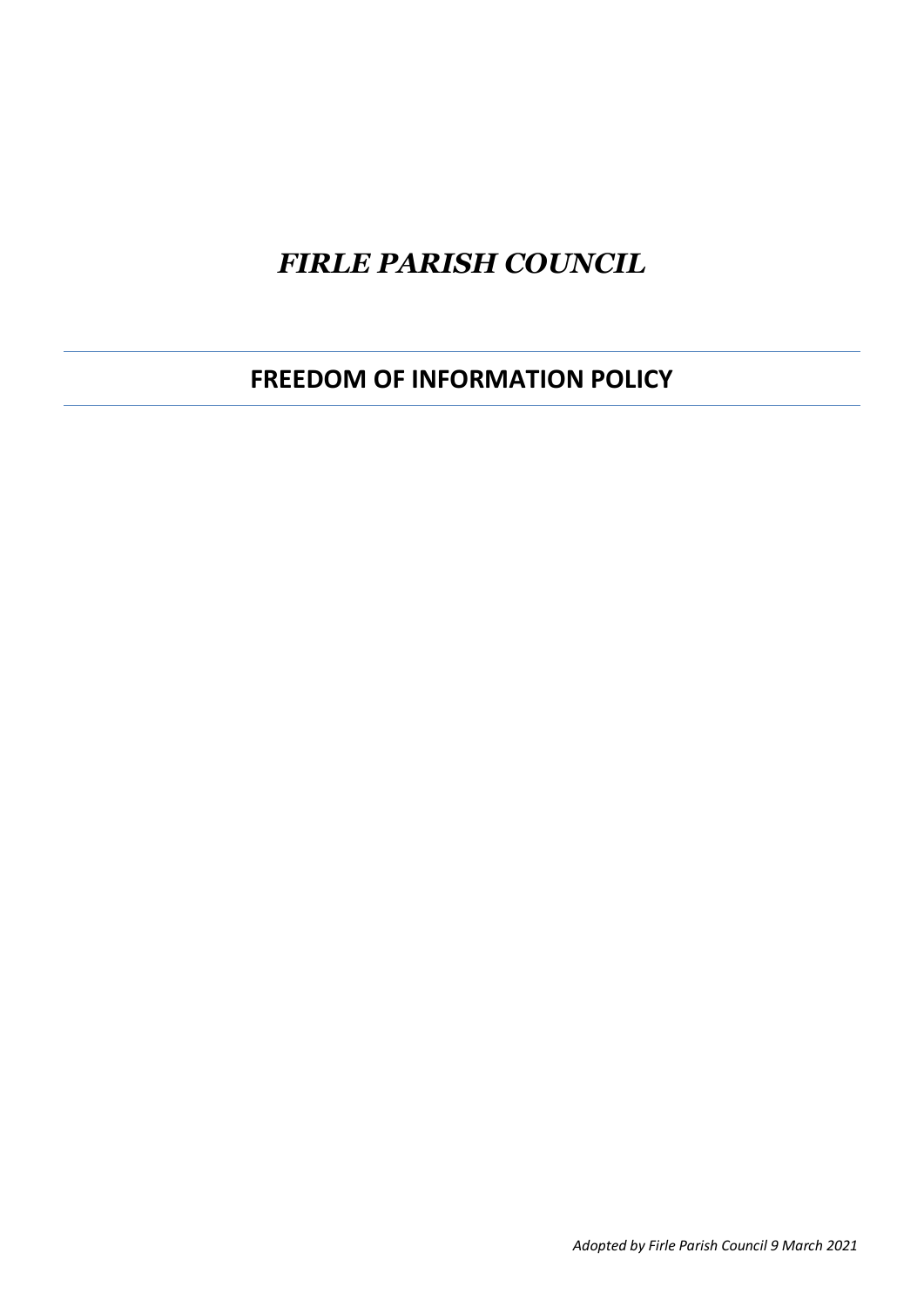# *FIRLE PARISH COUNCIL*

**FREEDOM OF INFORMATION POLICY**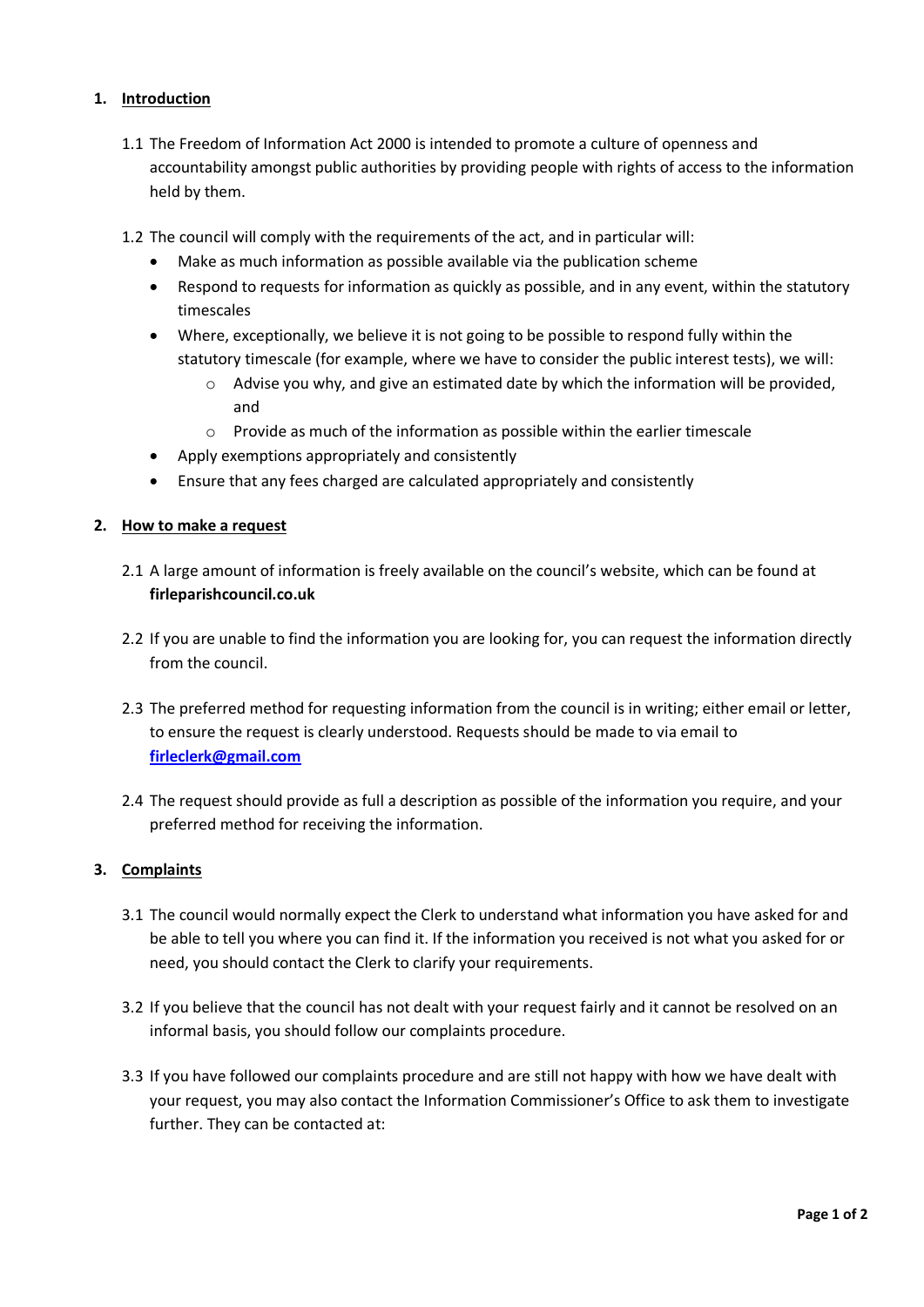## **1. Introduction**

- 1.1 The Freedom of Information Act 2000 is intended to promote a culture of openness and accountability amongst public authorities by providing people with rights of access to the information held by them.
- 1.2 The council will comply with the requirements of the act, and in particular will:
	- Make as much information as possible available via the publication scheme
	- Respond to requests for information as quickly as possible, and in any event, within the statutory timescales
	- Where, exceptionally, we believe it is not going to be possible to respond fully within the statutory timescale (for example, where we have to consider the public interest tests), we will:
		- $\circ$  Advise you why, and give an estimated date by which the information will be provided, and
		- o Provide as much of the information as possible within the earlier timescale
	- Apply exemptions appropriately and consistently
	- Ensure that any fees charged are calculated appropriately and consistently

#### **2. How to make a request**

- 2.1 A large amount of information is freely available on the council's website, which can be found at **firleparishcouncil.co.uk**
- 2.2 If you are unable to find the information you are looking for, you can request the information directly from the council.
- 2.3 The preferred method for requesting information from the council is in writing; either email or letter, to ensure the request is clearly understood. Requests should be made to via email to **[firleclerk@gmail.com](mailto:firleclerk@gmail.com)**
- 2.4 The request should provide as full a description as possible of the information you require, and your preferred method for receiving the information.

#### **3. Complaints**

- 3.1 The council would normally expect the Clerk to understand what information you have asked for and be able to tell you where you can find it. If the information you received is not what you asked for or need, you should contact the Clerk to clarify your requirements.
- 3.2 If you believe that the council has not dealt with your request fairly and it cannot be resolved on an informal basis, you should follow our complaints procedure.
- 3.3 If you have followed our complaints procedure and are still not happy with how we have dealt with your request, you may also contact the Information Commissioner's Office to ask them to investigate further. They can be contacted at: